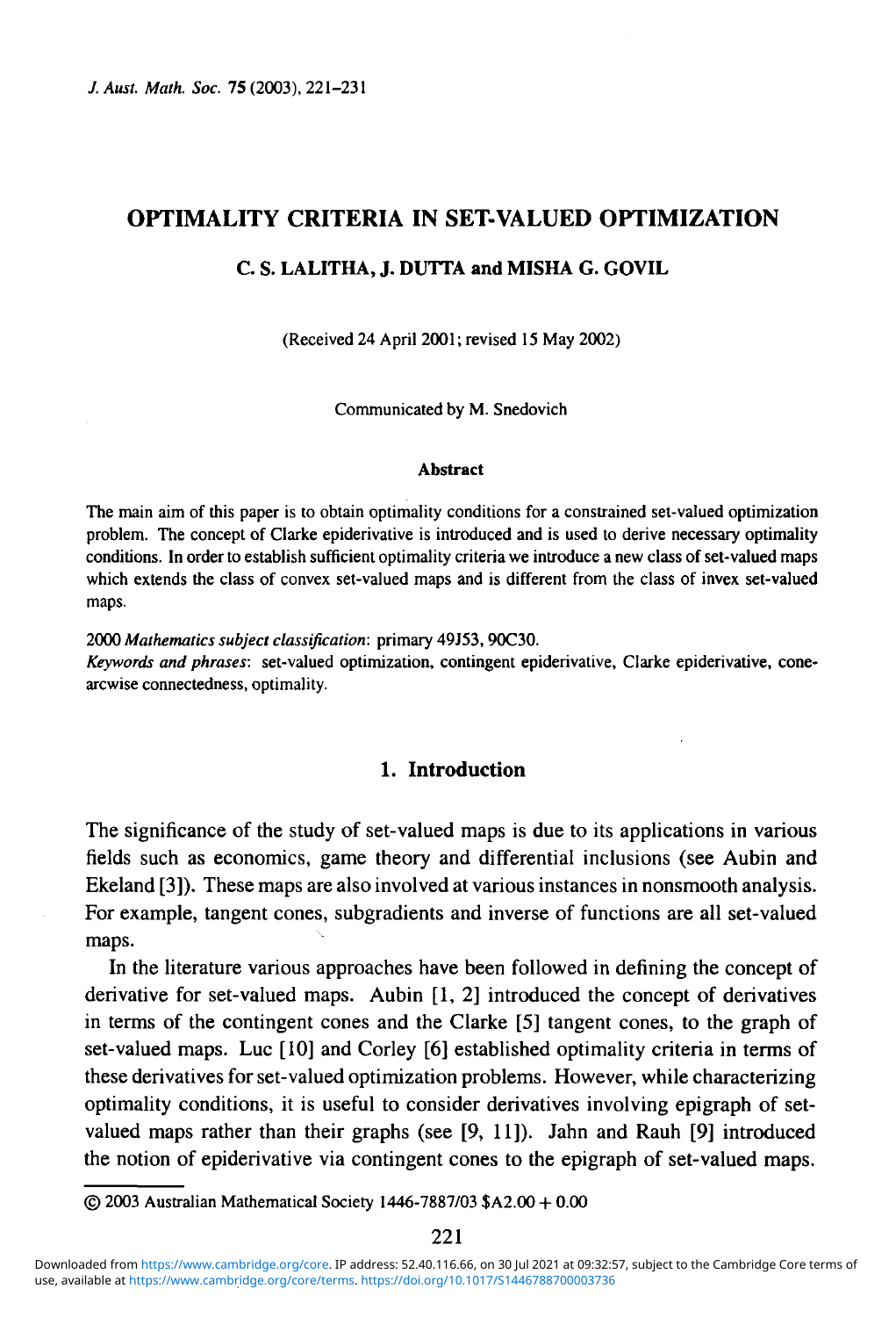# **OPTIMALITY CRITERIA IN SET-VALUED OPTIMIZATION**

#### C. S. LALITHA, J. DUTTA and MISHA G. GOVIL

 $\mathbf{r}$  and  $\mathbf{r}$  and  $\mathbf{r}$  and  $\mathbf{r}$  and  $\mathbf{r}$ 

Communicated by M. Snedovich Communicated by M. Snedovich

#### **Abstract**

The main aim of this paper is to obtain optimality conditions for a constrained set-valued optimization problem. The concept of Clarke epiderivative is introduced and is used to derive necessary optimality conditions. In order to establish sufficient optimality criteria we introduce a new class of set-valued maps which extends the class of convex set-valued maps and is different from the class of invex set-valued maps.

2000 *Mathematics subject classification:* primary 49J53, 90C30.

*Keywords and phrases:* set-valued optimization, contingent epiderivative, Clarke epiderivative, conearcwise connectedness, optimality.

### 1. Introduction

The significance of the study of set-valued maps is due to its applications in various fields such as economics, game theory and differential inclusions (see Aubin and Ekeland [3]). These maps are also involved at various instances in nonsmooth analysis. For example, tangent cones, subgradients and inverse of functions are all set-valued maps.

In the literature various approaches have been followed in defining the concept of derivative for set-valued maps. Aubin [1,2] introduced the concept of derivatives in terms of the contingent cones and the Clarke [5] tangent cones, to the graph of set-valued maps. Luc [10] and Corley [6] established optimality criteria in terms of these derivatives for set-valued optimization problems. However, while characterizing optimality conditions, it is useful to consider derivatives involving epigraph of setvalued maps rather than their graphs (see [9, 11]). Jahn and Rauh [9] introduced the notion of epiderivative via contingent cones to the epigraph of set-valued maps.

<sup>© 2003</sup> Australian Mathematical Society 1446-7887/03 \$A2.00 + 0.00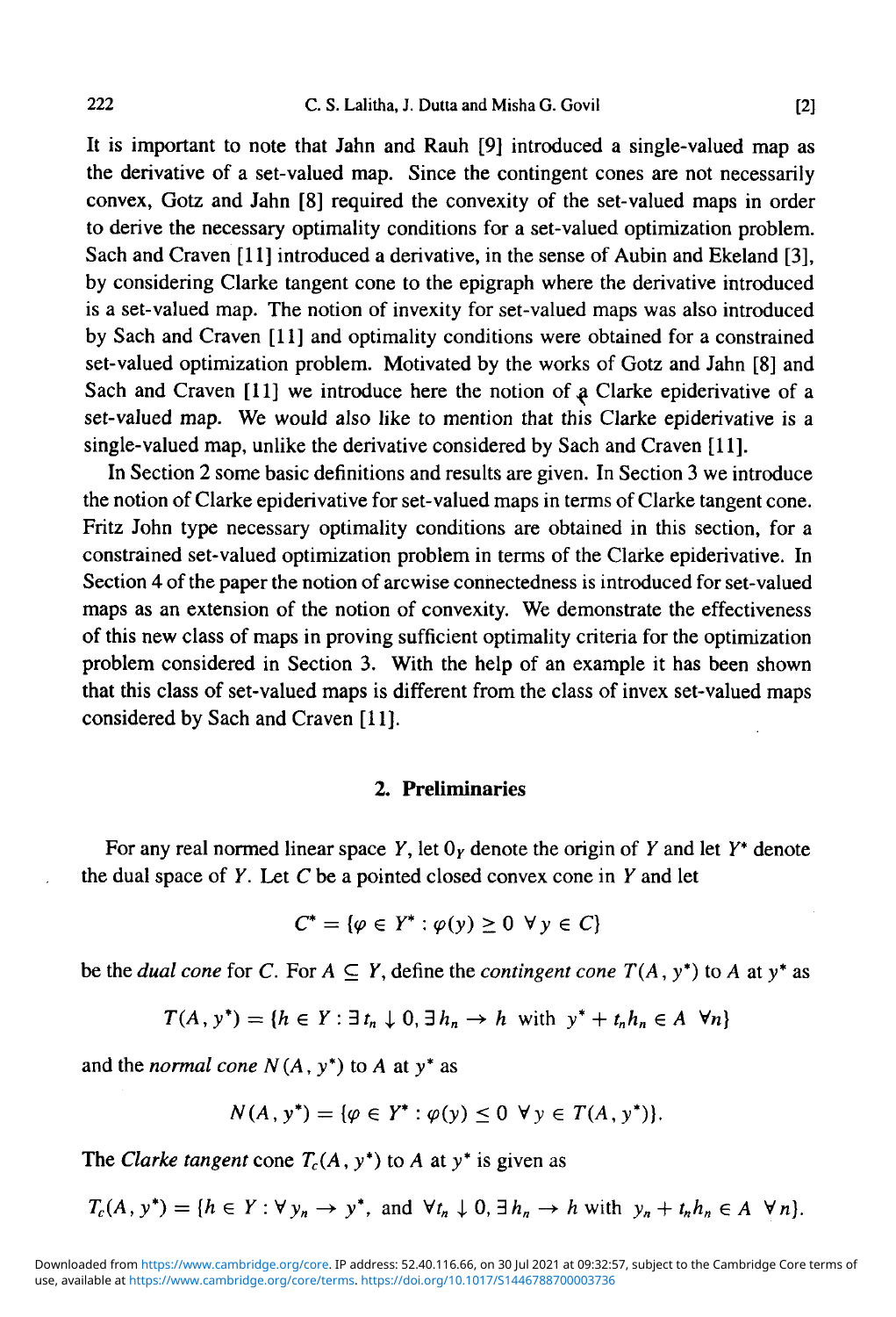It is important to note that Jahn and Rauh [9] introduced a single-valued map as the derivative of a set-valued map. Since the contingent cones are not necessarily convex, Gotz and Jahn [8] required the convexity of the set-valued maps in order to derive the necessary optimality conditions for a set-valued optimization problem. Sach and Craven [11] introduced a derivative, in the sense of Aubin and Ekeland [3], by considering Clarke tangent cone to the epigraph where the derivative introduced is a set-valued map. The notion of invexity for set-valued maps was also introduced by Sach and Craven [11] and optimality conditions were obtained for a constrained set-valued optimization problem. Motivated by the works of Gotz and Jahn [8] and Sach and Craven  $[11]$  we introduce here the notion of a Clarke epiderivative of a set-valued map. We would also like to mention that this Clarke epiderivative is a single-valued map, unlike the derivative considered by Sach and Craven [11].

In Section 2 some basic definitions and results are given. In Section 3 we introduce the notion of Clarke epiderivative for set-valued maps in terms of Clarke tangent cone. Fritz John type necessary optimality conditions are obtained in this section, for a constrained set-valued optimization problem in terms of the Clarke epiderivative. In Section 4 of the paper the notion of arcwise connectedness is introduced for set-valued maps as an extension of the notion of convexity. We demonstrate the effectiveness of this new class of maps in proving sufficient optimality criteria for the optimization problem considered in Section 3. With the help of an example it has been shown that this class of set-valued maps is different from the class of invex set-valued maps considered by Sach and Craven [11].

#### **2. Preliminaries**

For any real normed linear space *Y,* let 0y denote the origin of *Y* and let *Y\** denote the dual space of *Y.* Let *C* be a pointed closed convex cone in *Y* and let

$$
C^* = \{ \varphi \in Y^* : \varphi(y) \ge 0 \ \forall y \in C \}
$$

be the *dual cone* for C. For  $A \subseteq Y$ , define the *contingent cone*  $T(A, y^*)$  to A at y<sup>\*</sup> as

$$
T(A, y^*) = \{h \in Y : \exists t_n \downarrow 0, \exists h_n \to h \text{ with } y^* + t_n h_n \in A \ \forall n\}
$$

and the *normal cone N(A*, y\*) to *A* at y\* as

$$
N(A, y^*) = \{ \varphi \in Y^* : \varphi(y) \le 0 \ \forall y \in T(A, y^*) \}.
$$

The *Clarke tangent* cone  $T_c(A, y^*)$  to A at y<sup>\*</sup> is given as

 $T_c(A, y^*) = \{h \in Y : \forall y_n \rightarrow y^* \text{, and } \forall t_n \downarrow 0, \exists h_n \rightarrow h \text{ with } y_n + t_n h_n \in A \ \forall n\}.$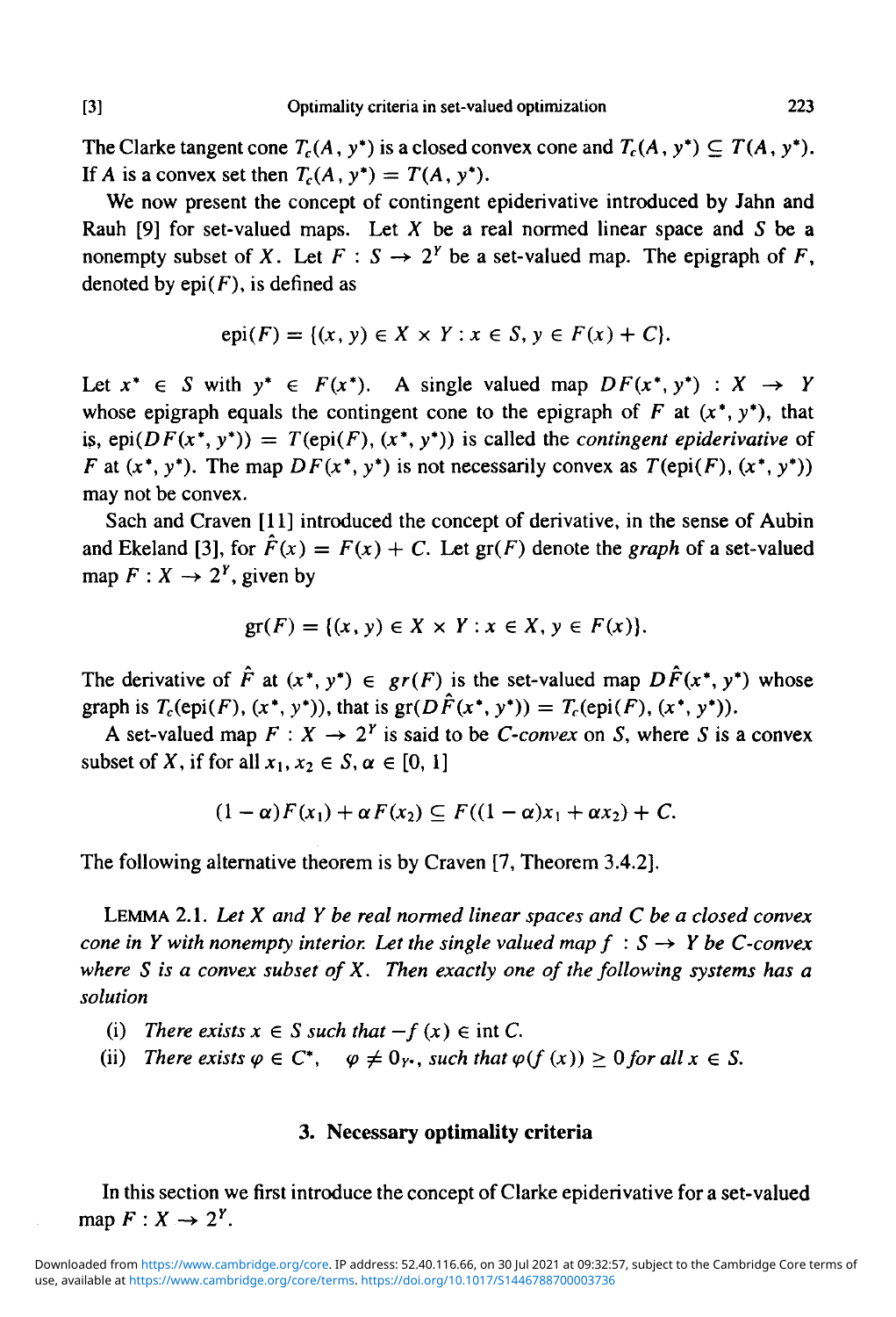The Clarke tangent cone  $T_c(A, y^*)$  is a closed convex cone and  $T_c(A, y^*) \subseteq T(A, y^*)$ . If A is a convex set then  $T_c(A, y^*) = T(A, y^*)$ .

We now present the concept of contingent epiderivative introduced by Jahn and Rauh [9] for set-valued maps. Let  $X$  be a real normed linear space and  $S$  be a nonempty subset of X. Let  $F : S \to 2^Y$  be a set-valued map. The epigraph of F, denoted by  $epi(F)$ , is defined as

$$
epi(F) = \{(x, y) \in X \times Y : x \in S, y \in F(x) + C\}.
$$

Let  $x^* \in S$  with  $y^* \in F(x^*)$ . A single valued map  $DF(x^*, y^*) : X \to Y$ whose epigraph equals the contingent cone to the epigraph of  $F$  at  $(x^*, y^*)$ , that is,  $epi(DF(x^*, y^*)) = T(epi(F), (x^*, y^*))$  is called the *contingent epiderivative* of *F* at  $(x^*, y^*)$ . The map  $DF(x^*, y^*)$  is not necessarily convex as  $T(\text{epi}(F), (x^*, y^*))$ may not be convex.

Sach and Craven [11] introduced the concept of derivative, in the sense of Aubin and Ekeland [3], for  $\hat{F}(x) = F(x) + C$ . Let  $gr(F)$  denote the *graph* of a set-valued map  $F: X \to 2^Y$ , given by

$$
gr(F) = \{(x, y) \in X \times Y : x \in X, y \in F(x)\}.
$$

The derivative of  $\hat{F}$  at  $(x^*, y^*) \in \mathfrak{gr}(F)$  is the set-valued map  $D\hat{F}(x^*, y^*)$  whose graph is  $T_c(\text{epi}(F), (x^*, y^*))$ , that is  $\text{gr}(D\hat{F}(x^*, y^*)) = T_c(\text{epi}(F), (x^*, y^*))$ .

A set-valued map  $F: X \to 2^Y$  is said to be *C-convex* on *S*, where *S* is a convex subset of X, if for all  $x_1, x_2 \in S$ ,  $\alpha \in [0, 1]$ 

$$
(1-\alpha)F(x_1)+\alpha F(x_2)\subseteq F((1-\alpha)x_1+\alpha x_2)+C.
$$

The following alternative theorem is by Craven [7, Theorem 3.4.2].

LEMMA 2.1. *Let X and Y be real normed linear spaces and C be a closed convex cone in Y with nonempty interior. Let the single valued map*  $f : S \rightarrow Y$  *be C-convex where S is a convex subset of X. Then exactly one of the following systems has a solution*

- (i) There exists  $x \in S$  such that  $-f(x) \in \text{int } C$ .
- (ii) There exists  $\varphi \in C^*$ ,  $\varphi \neq 0_Y$ , such that  $\varphi(f(x)) \geq 0$  for all  $x \in S$ .

## **3. Necessary optimality criteria**

In this section we first introduce the concept of Clarke epiderivative for a set-valued map  $F: X \rightarrow 2^Y$ .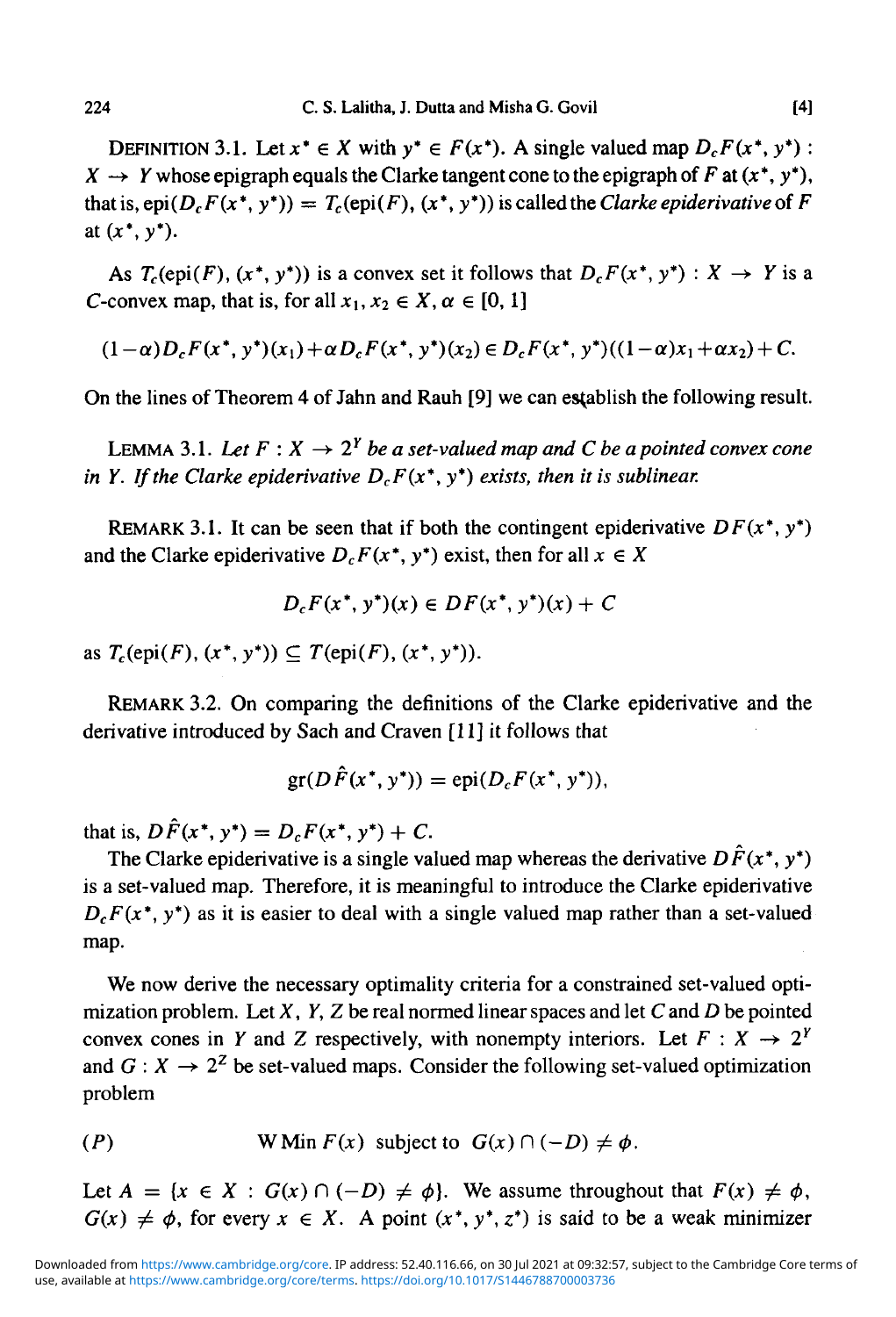DEFINITION 3.1. Let  $x^* \in X$  with  $y^* \in F(x^*)$ . A single valued map  $D_cF(x^*, y^*)$ :  $X \rightarrow Y$  whose epigraph equals the Clarke tangent cone to the epigraph of F at  $(x^*, y^*)$ , that is,  $epi(D_cF(x^*,y^*)) = T_c(epi(F), (x^*,y^*))$  is called the *Clarke epiderivative* of *F* at  $(x^*, y^*)$ .

As  $T_c(\text{epi}(F), (x^*, y^*))$  is a convex set it follows that  $D_cF(x^*, y^*) : X \to Y$  is a C-convex map, that is, for all  $x_1, x_2 \in X$ ,  $\alpha \in [0, 1]$ 

$$
(1-\alpha)D_c F(x^*, y^*)(x_1) + \alpha D_c F(x^*, y^*)(x_2) \in D_c F(x^*, y^*)(1-\alpha)x_1 + \alpha x_2) + C.
$$

On the lines of Theorem 4 of Jahn and Rauh [9] we can establish the following result.

LEMMA 3.1. Let  $F: X \to 2^Y$  be a set-valued map and C be a pointed convex cone *in Y. If the Clarke epiderivative DcF(x\*, y\*) exists, then it is sublinear.*

REMARK 3.1. It can be seen that if both the contingent epiderivative  $DF(x^*, y^*)$ and the Clarke epiderivative  $D_cF(x^*, y^*)$  exist, then for all  $x \in X$ 

$$
D_c F(x^*, y^*)(x) \in DF(x^*, y^*)(x) + C
$$

as  $T_c(\text{epi}(F), (x^*, y^*)) \subseteq T(\text{epi}(F), (x^*, y^*)$ .

REMARK 3.2. On comparing the definitions of the Clarke epiderivative and the derivative introduced by Sach and Craven [11] it follows that

$$
\operatorname{gr}(D\tilde{F}(x^*,y^*))=\operatorname{epi}(D_cF(x^*,y^*)),
$$

that is,  $D\hat{F}(x^*, y^*) = D_cF(x^*, y^*) + C$ .

The Clarke epiderivative is a single valued map whereas the derivative  $D\hat{F}(x^*, y^*)$ is a set-valued map. Therefore, it is meaningful to introduce the Clarke epiderivative  $D_cF(x^*, y^*)$  as it is easier to deal with a single valued map rather than a set-valued map.

We now derive the necessary optimality criteria for a constrained set-valued optimization problem. Let *X, Y, Z* be real normed linear spaces and let C and *D* be pointed convex cones in *Y* and *Z* respectively, with nonempty interiors. Let  $F : X \rightarrow 2^Y$ and  $G: X \to 2^Z$  be set-valued maps. Consider the following set-valued optimization problem

(P) W Min 
$$
F(x)
$$
 subject to  $G(x) \cap (-D) \neq \phi$ .

Let  $A = \{x \in X : G(x) \cap (-D) \neq \emptyset\}$ . We assume throughout that  $F(x) \neq \emptyset$ ,  $G(x) \neq \phi$ , for every  $x \in X$ . A point  $(x^*, y^*, z^*)$  is said to be a weak minimizer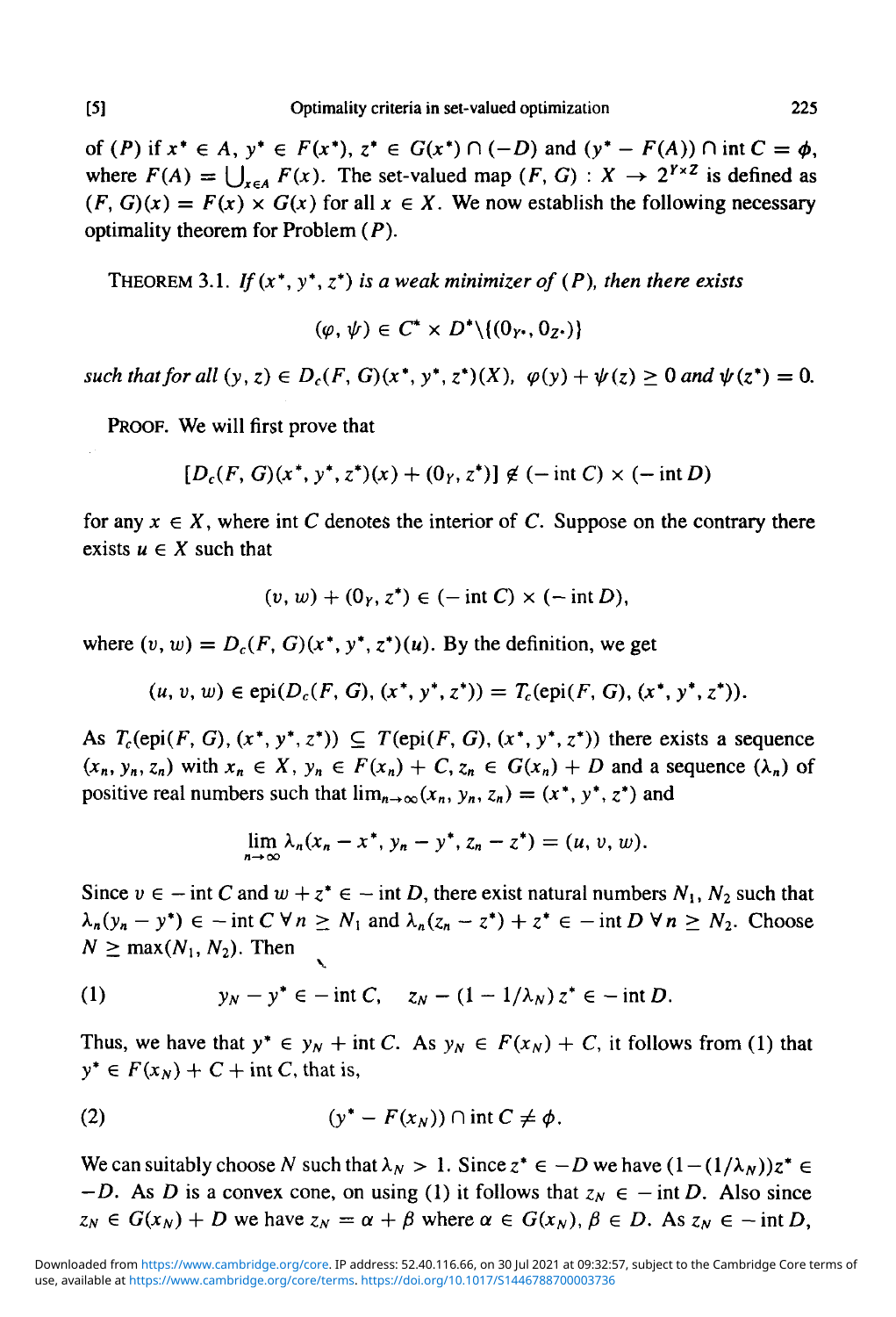of (P) if  $x^* \in A$ ,  $y^* \in F(x^*)$ ,  $z^* \in G(x^*) \cap (-D)$  and  $(y^* - F(A)) \cap \text{int } C = \phi$ , where  $F(A) = \bigcup_{x \in A} F(x)$ . The set-valued map  $(F, G) : X \to 2^{Y \times Z}$  is defined as  $(F, G)(x) = F(x) \times G(x)$  for all  $x \in X$ . We now establish the following necessary optimality theorem for Problem *(P).*

THEOREM 3.1. *If(x\*, y\*,* z\*) *is a weak minimizer of (P), then there exists*

$$
(\varphi, \psi) \in C^* \times D^* \setminus \{(0_{Y^*}, 0_{Z^*})\}
$$

*such that for all*  $(y, z) \in D_c(F, G)(x^*, y^*, z^*)(X)$ ,  $\varphi(y) + \psi(z) \ge 0$  and  $\psi(z^*) = 0$ .

PROOF. We will first prove that

$$
[D_c(F, G)(x^*, y^*, z^*)(x) + (0_Y, z^*)] \not\in (-\text{int } C) \times (-\text{int } D)
$$

for any  $x \in X$ , where int C denotes the interior of C. Suppose on the contrary there exists  $u \in X$  such that

$$
(v, w) + (0_Y, z^*) \in (-\operatorname{int} C) \times (-\operatorname{int} D),
$$

where  $(v, w) = D_c(F, G)(x^*, y^*, z^*)(u)$ . By the definition, we get

$$
(u, v, w) \in \text{epi}(D_c(F, G), (x^*, y^*, z^*)) = T_c(\text{epi}(F, G), (x^*, y^*, z^*)).
$$

As  $T_c(\text{epi}(F, G), (x^*, y^*, z^*)) \subseteq T(\text{epi}(F, G), (x^*, y^*, z^*))$  there exists a sequence  $(x_n, y_n, z_n)$  with  $x_n \in X$ ,  $y_n \in F(x_n) + C$ ,  $z_n \in G(x_n) + D$  and a sequence  $(\lambda_n)$  of positive real numbers such that  $\lim_{n\to\infty} (x_n, y_n, z_n) = (x^*, y^*, z^*)$  and

$$
\lim_{n\to\infty}\lambda_n(x_n-x^*,y_n-y^*,z_n-z^*)=(u,v,w).
$$

Since  $v \in -$  int C and  $w + z^* \in -$  int D, there exist natural numbers  $N_1$ ,  $N_2$  such that  $\lambda_n(y_n - y^*) \in -\text{int } C \forall n \geq N_1 \text{ and } \lambda_n(z_n - z^*) + z^* \in -\text{int } D \forall n \geq N_2.$  Choose  $N \ge \max(N_1, N_2)$ . Then

(1) 
$$
y_N - y^* \in -\text{int } C, \quad z_N - (1 - 1/\lambda_N) z^* \in -\text{int } D.
$$

Thus, we have that  $y^* \in y_N + \text{int } C$ . As  $y_N \in F(x_N) + C$ , it follows from (1) that  $y^* \in F(x_N) + C + \text{int } C$ , that is,

(2) 
$$
(y^* - F(x_N)) \cap \text{int } C \neq \phi.
$$

We can suitably choose N such that  $\lambda_N > 1$ . Since  $z^* \in -D$  we have  $(1-(1/\lambda_N))z^* \in$ *–D.* As D is a convex cone, on using (1) it follows that  $z_N \in -$  int D. Also since  $z_N \in G(x_N) + D$  we have  $z_N = \alpha + \beta$  where  $\alpha \in G(x_N)$ ,  $\beta \in D$ . As  $z_N \in - \text{int } D$ ,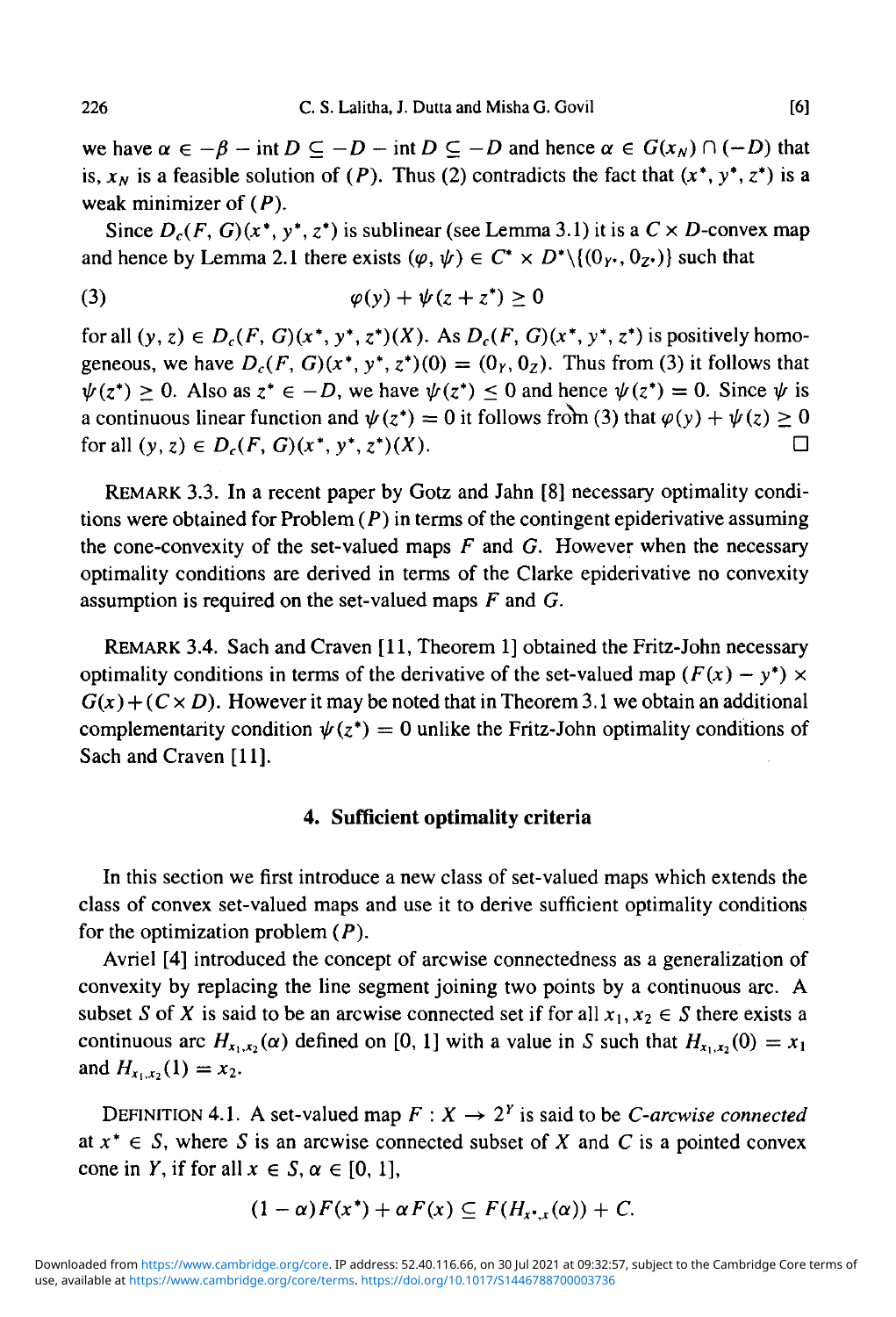we have  $\alpha \in -\beta$  - int  $D \subseteq -D$  - int  $D \subseteq -D$  and hence  $\alpha \in G(x_N) \cap (-D)$  that is,  $x_N$  is a feasible solution of (P). Thus (2) contradicts the fact that  $(x^*, y^*, z^*)$  is a weak minimizer of  $(P)$ .

Since  $D_c(F, G)(x^*, y^*, z^*)$  is sublinear (see Lemma 3.1) it is a  $C \times D$ -convex map and hence by Lemma 2.1 there exists  $(\varphi, \psi) \in C^* \times D^* \setminus \{(0_{\gamma^*}, 0_{Z^*})\}$  such that

$$
\varphi(y) + \psi(z + z^*) \ge 0
$$

for all  $(y, z) \in D_c(F, G)(x^*, y^*, z^*)(X)$ . As  $D_c(F, G)(x^*, y^*, z^*)$  is positively homogeneous, we have  $D_c(F, G)(x^*, y^*, z^*)(0) = (0<sub>r</sub>, 0<sub>z</sub>)$ . Thus from (3) it follows that  $\psi(z^*) \geq 0$ . Also as  $z^* \in -D$ , we have  $\psi(z^*) \leq 0$  and hence  $\psi(z^*) = 0$ . Since  $\psi$  is a continuous linear function and  $\psi(z^*) = 0$  it follows from (3) that  $\varphi(y) + \psi(z) \ge 0$ for all  $(y, z) \in D_c(F, G)(x^*, y^*, z^*)(X)$ .

REMARK 3.3. In a recent paper by Gotz and Jahn [8] necessary optimality conditions were obtained for Problem  $(P)$  in terms of the contingent epiderivative assuming the cone-convexity of the set-valued maps *F* and *G.* However when the necessary optimality conditions are derived in terms of the Clarke epiderivative no convexity assumption is required on the set-valued maps *F* and *G.*

REMARK 3.4. Sach and Craven [11, Theorem 1] obtained the Fritz-John necessary optimality conditions in terms of the derivative of the set-valued map  $(F(x) - y^*) \times$  $G(x) + (C \times D)$ . However it may be noted that in Theorem 3.1 we obtain an additional complementarity condition  $\psi(z^*) = 0$  unlike the Fritz-John optimality conditions of Sach and Craven **[11].**

#### **4. Sufficient optimality criteria**

In this section we first introduce a new class of set-valued maps which extends the class of convex set-valued maps and use it to derive sufficient optimality conditions for the optimization problem  $(P)$ .

Avriel [4] introduced the concept of arcwise connectedness as a generalization of convexity by replacing the line segment joining two points by a continuous arc. A subset S of X is said to be an arcwise connected set if for all  $x_1, x_2 \in S$  there exists a continuous arc  $H_{x_1,x_2}(\alpha)$  defined on [0, 1] with a value in *S* such that  $H_{x_1,x_2}(0) = x_1$ and  $H_{x_1,x_2}(1) = x_2$ .

DEFINITION 4.1. A set-valued map  $F: X \to 2^Y$  is said to be *C-arcwise connected* at  $x^* \in S$ , where S is an arcwise connected subset of X and C is a pointed convex cone in *Y*, if for all  $x \in S$ ,  $\alpha \in [0, 1]$ ,

$$
(1-\alpha)F(x^*)+\alpha F(x)\subseteq F(H_{x^*,x}(\alpha))+C.
$$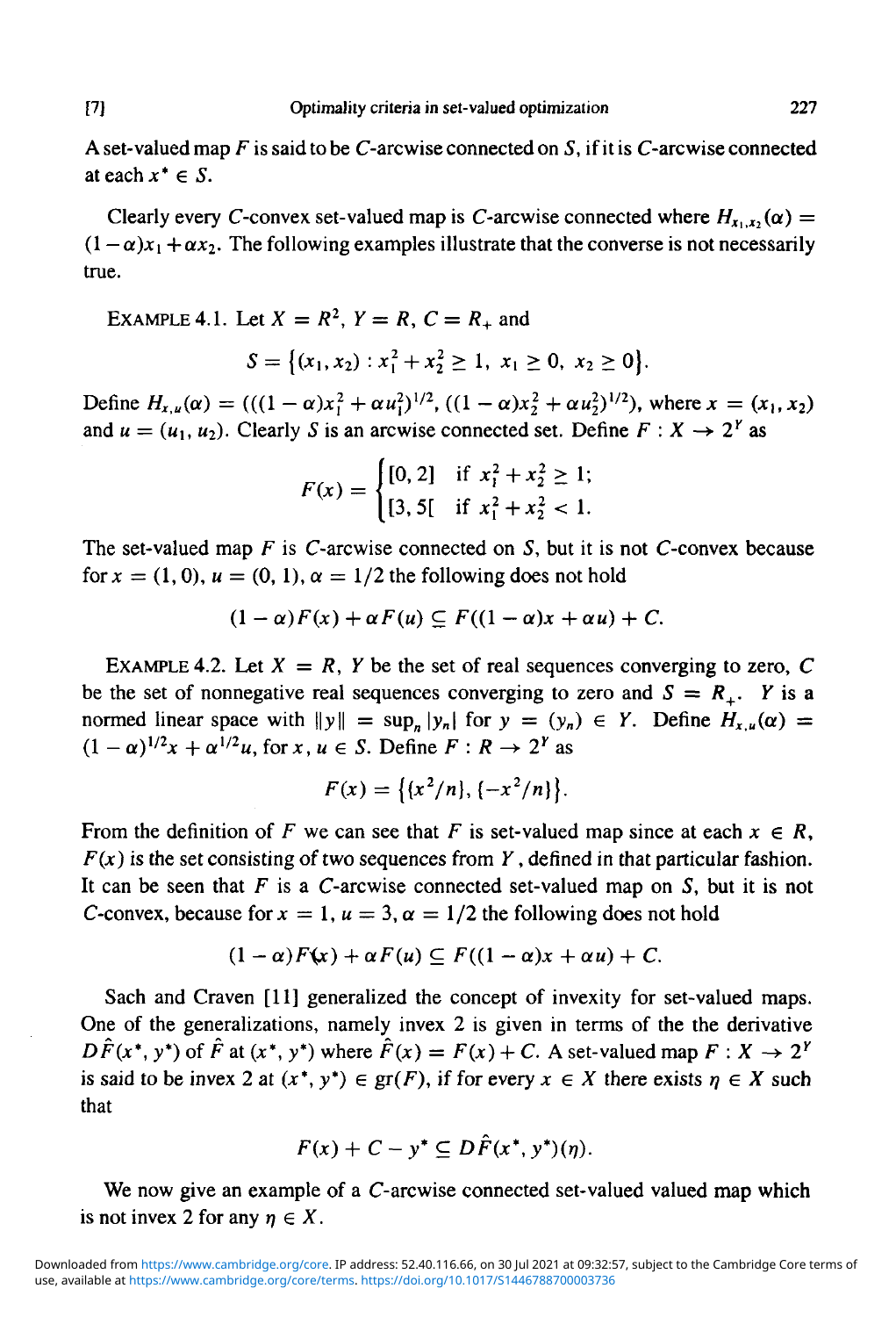A set-valued map *F* is said to be C-arcwise connected on 5, if it is C-arcwise connected at each  $x^* \in S$ .

Clearly every C-convex set-valued map is C-arcwise connected where  $H_{x_1,x_2}(\alpha)$  =  $(1 - \alpha)x_1 + \alpha x_2$ . The following examples illustrate that the converse is not necessarily true.

EXAMPLE 4.1. Let  $X = R^2$ ,  $Y = R$ ,  $C = R_+$  and

$$
S = \{(x_1, x_2) : x_1^2 + x_2^2 \ge 1, x_1 \ge 0, x_2 \ge 0\}.
$$

Define  $H_{x,u}(\alpha) = (((1-\alpha)x_1^2 + \alpha u_1^2)^{1/2}, ((1-\alpha)x_2^2 + \alpha u_2^2)^{1/2})$ , where  $x = (x_1, x_2)$ and  $u = (u_1, u_2)$ . Clearly *S* is an arcwise connected set. Define  $F : X \to 2^r$  as

$$
F(x) = \begin{cases} [0, 2] & \text{if } x_1^2 + x_2^2 \ge 1; \\ [3, 5] & \text{if } x_1^2 + x_2^2 < 1. \end{cases}
$$

The set-valued map *F* is C-arcwise connected on S, but it is not C-convex because for  $x = (1, 0), u = (0, 1), \alpha = 1/2$  the following does not hold

$$
(1-\alpha)F(x) + \alpha F(u) \subseteq F((1-\alpha)x + \alpha u) + C.
$$

EXAMPLE 4.2. Let  $X = R$ , Y be the set of real sequences converging to zero, C be the set of nonnegative real sequences converging to zero and  $S = R_+$ *. Y* is a normed linear space with  $||y|| = \sup_n |y_n|$  for  $y = (y_n) \in Y$ . Define  $H_{x,u}(\alpha) =$  $(1 - \alpha)^{1/2}x + \alpha^{1/2}u$ , for  $x, u \in S$ . Define  $F : R \to 2^Y$  as

$$
F(x) = \{(x^2/n), (-x^2/n)\}.
$$

From the definition of F we can see that F is set-valued map since at each  $x \in R$ , *F(x)* is the set consisting of two sequences from *Y*, defined in that particular fashion. It can be seen that *F* is a C-arcwise connected set-valued map on 5, but it is not C-convex, because for  $x = 1$ ,  $u = 3$ ,  $\alpha = 1/2$  the following does not hold

$$
(1-\alpha)F(x) + \alpha F(u) \subseteq F((1-\alpha)x + \alpha u) + C.
$$

Sach and Craven [11] generalized the concept of invexity for set-valued maps. One of the generalizations, namely invex 2 is given in terms of the the derivative  $D\hat{F}(x^*, y^*)$  of  $\hat{F}$  at  $(x^*, y^*)$  where  $\hat{F}(x) = F(x) + C$ . A set-valued map  $F: X \to 2^Y$ is said to be invex 2 at  $(x^*, y^*) \in \text{gr}(F)$ , if for every  $x \in X$  there exists  $\eta \in X$  such that

$$
F(x) + C - y^* \subseteq D\hat{F}(x^*, y^*)(\eta).
$$

We now give an example of a *C*-arcwise connected set-valued valued map which is not invex 2 for any  $\eta \in X$ .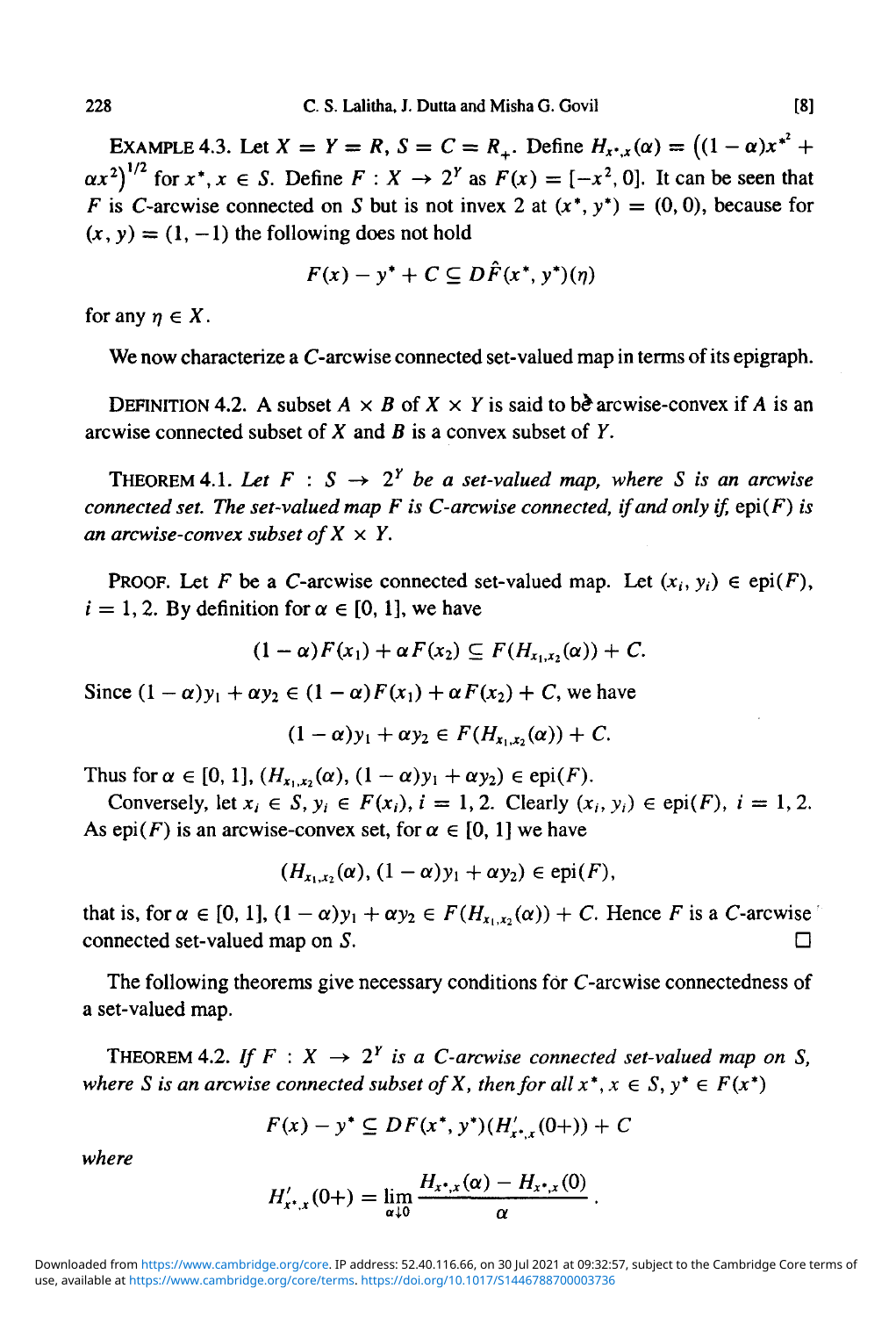EXAMPLE 4.3. Let  $X = Y = R$ ,  $S = C = R<sub>+</sub>$ . Define  $H_{x^*,x}(\alpha) = ((1 - \alpha)x^{*^2} +$  $\left(\frac{\alpha x^2}{2}\right)^{1/2}$  for  $x^*$ ,  $x \in S$ . Define  $F: X \to 2^Y$  as  $F(x) = [-x^2, 0]$ . It can be seen that F is C-arcwise connected on S but is not invex 2 at  $(x^*, y^*) = (0, 0)$ , because for  $(x, y) = (1, -1)$  the following does not hold

$$
F(x) - y^* + C \subseteq D\hat{F}(x^*, y^*)(\eta)
$$

for any  $\eta \in X$ .

We now characterize a *C*-arcwise connected set-valued map in terms of its epigraph.

DEFINITION 4.2. A subset  $A \times B$  of  $X \times Y$  is said to be arcwise-convex if A is an arcwise connected subset of X and *B* is a convex subset of *Y.*

THEOREM 4.1. Let  $F : S \rightarrow 2^Y$  be a set-valued map, where S is an arcwise *connected set. The set-valued map F is C-arcwise connected, if and only if,* epi(F) *is an arcwise-convex subset of*  $X \times Y$ .

**PROOF.** Let F be a C-arcwise connected set-valued map. Let  $(x_i, y_i) \in ep(F)$ ,  $i = 1, 2$ . By definition for  $\alpha \in [0, 1]$ , we have

$$
(1-\alpha)F(x_1)+\alpha F(x_2)\subseteq F(H_{x_1,x_2}(\alpha))+C.
$$

Since  $(1 - \alpha)y_1 + \alpha y_2 \in (1 - \alpha)F(x_1) + \alpha F(x_2) + C$ , we have

$$
(1-\alpha)y_1+\alpha y_2\in F(H_{x_1,x_2}(\alpha))+C.
$$

Thus for  $\alpha \in [0, 1]$ ,  $(H_{x_1, x_2}(\alpha), (1 - \alpha)y_1 + \alpha y_2) \in \text{epi}(F)$ .

Conversely, let  $x_i \in S$ ,  $y_i \in F(x_i)$ ,  $i = 1, 2$ . Clearly  $(x_i, y_i) \in \text{epi}(F)$ ,  $i = 1, 2$ . As epi(F) is an arcwise-convex set, for  $\alpha \in [0, 1]$  we have

$$
(H_{x_1,x_2}(\alpha), (1-\alpha)y_1+\alpha y_2) \in \text{epi}(F),
$$

that is, for  $\alpha \in [0, 1]$ ,  $(1 - \alpha)y_1 + \alpha y_2 \in F(H_{x_1, x_2}(\alpha)) + C$ . Hence F is a C-arcwise connected set-valued map on  $S$ .

The following theorems give necessary conditions for C-arcwise connectedness of a set-valued map.

THEOREM 4.2. If  $F: X \rightarrow 2^Y$  is a C-arcwise connected set-valued map on S, *where S* is an arcwise connected subset of *X*, then for all  $x^*$ ,  $x \in S$ ,  $y^* \in F(x^*)$ 

$$
F(x) - y^* \subseteq DF(x^*, y^*)(H'_{x^*, x}(0+)) + C
$$

*where*

$$
H'_{x^*,x}(0+) = \lim_{\alpha \downarrow 0} \frac{H_{x^*,x}(\alpha) - H_{x^*,x}(0)}{\alpha}
$$

use, available at https://www.cambridge.org/core/terms. https://doi.org/10.1017/S1446788700003736 Downloaded from https://www.cambridge.org/core. IP address: 52.40.116.66, on 30 Jul 2021 at 09:32:57, subject to the Cambridge Core terms of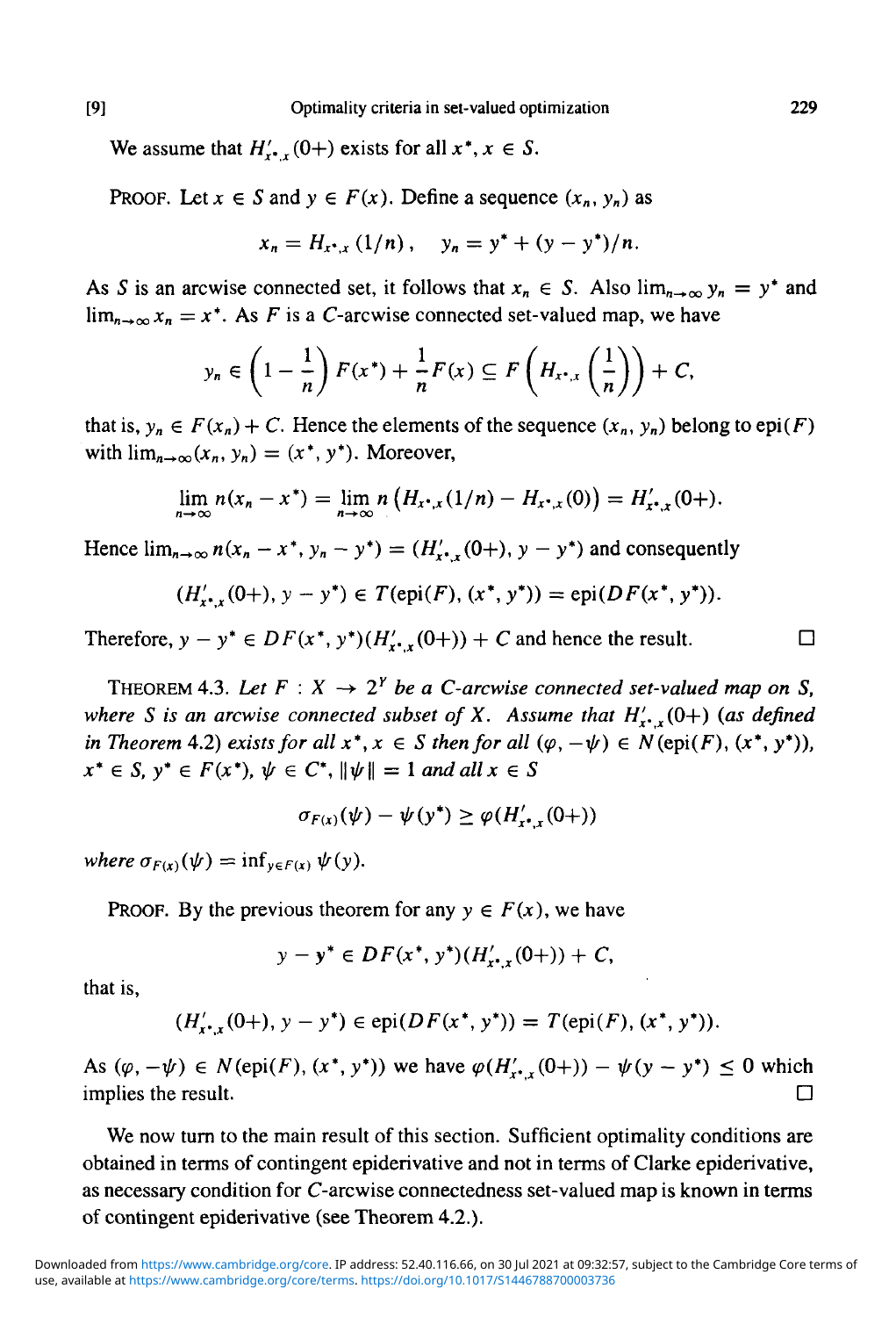We assume that  $H'_{r,r}(0+)$  exists for all  $x^*, x \in S$ .

PROOF. Let  $x \in S$  and  $y \in F(x)$ . Define a sequence  $(x_n, y_n)$  as

$$
x_n = H_{x^*,x} (1/n), \quad y_n = y^* + (y - y^*)/n.
$$

As *S* is an arcwise connected set, it follows that  $x_n \in S$ . Also  $\lim_{n\to\infty} y_n = y^*$  and  $\lim_{n\to\infty} x_n = x^*$ . As *F* is a *C*-arcwise connected set-valued map, we have

$$
y_n \in \left(1-\frac{1}{n}\right)F(x^*) + \frac{1}{n}F(x) \subseteq F\left(H_{x^*,x}\left(\frac{1}{n}\right)\right) + C,
$$

that is,  $y_n \in F(x_n) + C$ . Hence the elements of the sequence  $(x_n, y_n)$  belong to epi(F) with  $\lim_{n\to\infty}$  $(x_n, y_n) = (x^*, y^*)$ . Moreover,

$$
\lim_{n\to\infty} n(x_n - x^*) = \lim_{n\to\infty} n\left(H_{x^*,x}(1/n) - H_{x^*,x}(0)\right) = H'_{x^*,x}(0+).
$$

Hence  $\lim_{n\to\infty} n(x_n - x^*, y_n - y^*) = (H'_x, (0+), y - y^*)$  and consequently

$$
(H'_{x^*,x}(0+), y - y^*) \in T(\text{epi}(F), (x^*, y^*)) = \text{epi}(DF(x^*, y^*)).
$$

Therefore,  $y - y^* \in DF(x^*, y^*)(H'_{x^*, x}(0+)) + C$  and hence the result.  $\Box$ 

THEOREM 4.3. Let  $F: X \to 2^Y$  be a C-arcwise connected set-valued map on S, *where S is an arcwise connected subset of X. Assume that*  $H'_{r}$ *,*  $(0+)$  *(as defined in Theorem* 4.2*)* exists for all  $x^*$ ,  $x \in S$  then for all  $(\varphi, -\psi) \in N(\text{epi}(F), (x^*, y^*))$ ,  $x^* \in S$ ,  $y^* \in F(x^*)$ ,  $\psi \in C^*$ ,  $\|\psi\| = 1$  *and all*  $x \in S$ 

$$
\sigma_{F(x)}(\psi) - \psi(y^*) \geq \varphi(H'_{x^*,x}(0+))
$$

*where*  $\sigma_{F(x)}(\psi) = \inf_{y \in F(x)} \psi(y)$ .

PROOF. By the previous theorem for any  $y \in F(x)$ , we have

$$
y - y^* \in DF(x^*, y^*)(H'_{x^*,x}(0+)) + C,
$$

that is,

$$
(H'_{x^*,x}(0+), y - y^*) \in \text{epi}(DF(x^*, y^*)) = T(\text{epi}(F), (x^*, y^*)).
$$

As  $(\varphi, -\psi) \in N(\text{epi}(F), (x^*, y^*))$  we have  $\varphi(H'_{x^*, x}(0+)) - \psi(y - y^*) \leq 0$  which implies the result.  $\Box$ 

We now turn to the main result of this section. Sufficient optimality conditions are obtained in terms of contingent epiderivative and not in terms of Clarke epiderivative, as necessary condition for C-arcwise connectedness set-valued map is known in terms of contingent epiderivative (see Theorem 4.2.).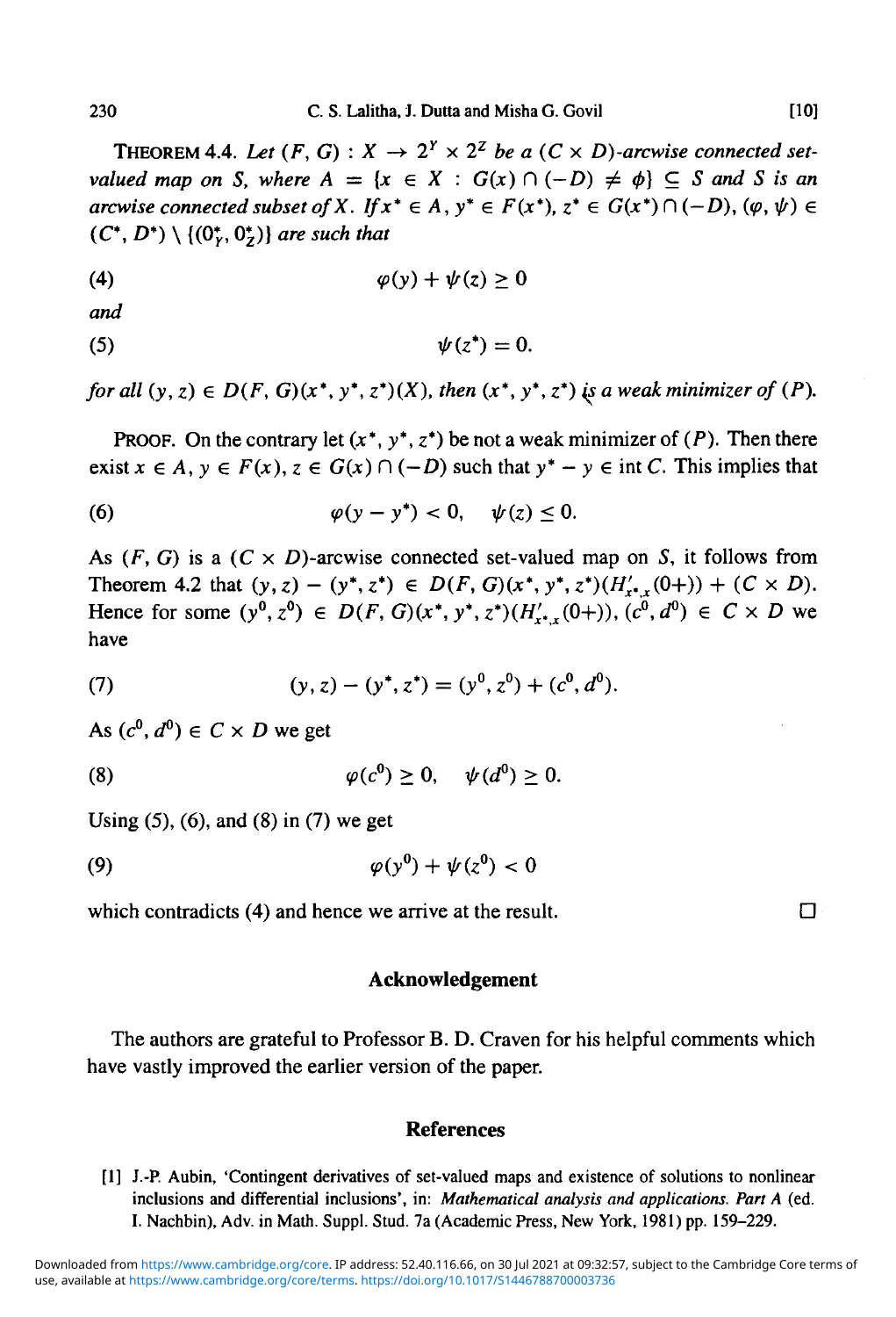THEOREM 4.4. Let  $(F, G) : X \to 2^Y \times 2^Z$  be a  $(C \times D)$ -arcwise connected set*valued map on S, where*  $A = \{x \in X : G(x) \cap (-D) \neq \emptyset\} \subseteq S$  and S is an *arcwise connected subset of X. If*  $x^* \in A$ ,  $y^* \in F(x^*)$ ,  $z^* \in G(x^*) \cap (-D)$ ,  $(\varphi, \psi) \in$  $(C^*, D^*) \setminus \{ (0^*, 0^*) \}$  are such that

$$
\varphi(y) + \psi(z) \ge 0
$$

and

$$
\psi(z^*)=0.
$$

for all  $(y, z) \in D(F, G)(x^*, y^*, z^*)(X)$ , then  $(x^*, y^*, z^*)$  *is a weak minimizer of*  $(P)$ *.* 

**PROOF.** On the contrary let  $(x^*, y^*, z^*)$  be not a weak minimizer of  $(P)$ . Then there exist  $x \in A$ ,  $y \in F(x)$ ,  $z \in G(x) \cap (-D)$  such that  $y^* - y \in \text{int } C$ . This implies that

$$
\varphi(y-y^*)<0, \quad \psi(z)\leq 0.
$$

As  $(F, G)$  is a  $(C \times D)$ -arcwise connected set-valued map on S, it follows from Theorem 4.2 that  $(y, z) - (y^*, z^*) \in D(F, G)(x^*, y^*, z^*)(H'_{x^*}(0+)) + (C \times D).$ Hence for some  $(y^0, z^0) \in D(F, G)(x^*, y^*, z^*)(H'_{t^*,y}(0+)), (c^0, d^0) \in C \times D$  we have

(7) 
$$
(y, z) - (y^*, z^*) = (y^0, z^0) + (c^0, d^0).
$$

As  $(c^0, d^0) \in C \times D$  we get

$$
\varphi(c^0) \geq 0, \quad \psi(d^0) \geq 0.
$$

Using (5), (6), and (8) in (7) we get

$$
\varphi(y^0) + \psi(z^0) < 0
$$

which contradicts (4) and hence we arrive at the result.  $\square$ 

#### **Acknowledgement**

The authors are grateful to Professor B. D. Craven for his helpful comments which have vastly improved the earlier version of the paper.

#### **References**

[1] J.-P. Aubin, 'Contingent derivatives of set-valued maps and existence of solutions to nonlinear inclusions and differential inclusions', in: *Mathematical analysis and applications. Part A* (ed. I. Nachbin), Adv. in Math. Suppl. Stud. 7a (Academic Press, New York, 1981) pp. 159-229.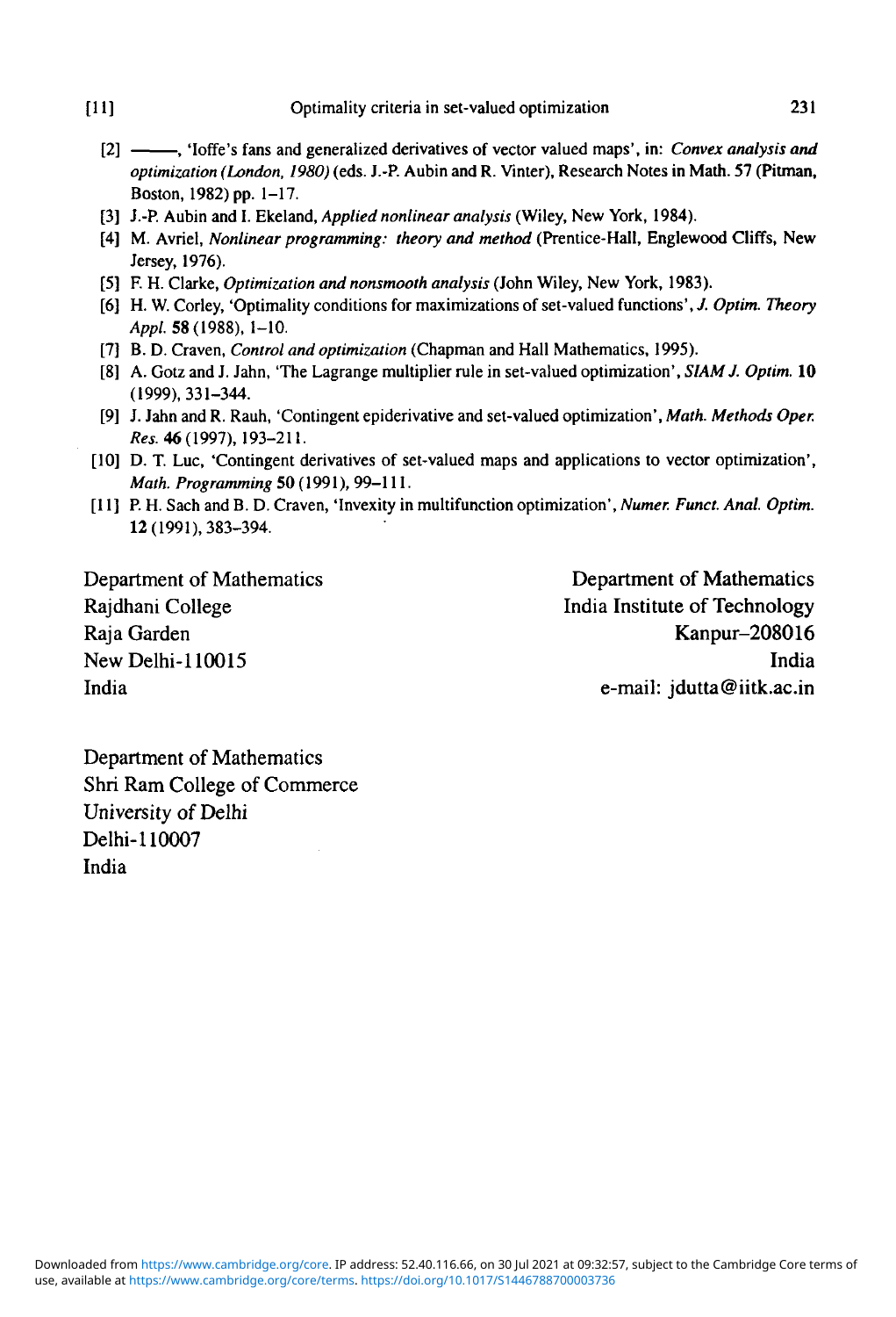- [2] , 'Ioffe's fans and generalized derivatives of vector valued maps', in: *Convex analysis and optimization (London, 1980)* (eds. J.-P. Aubin and R. Vinter), Research Notes in Math. 57 (Pitman, Boston, 1982) pp. 1-17.
- [3] J.-P. Aubin and I. Ekeland, *Applied nonlinear analysis* (Wiley, New York, 1984).
- [4] M. Avriel, *Nonlinear programming: theory and method* (Prentice-Hall, Englewood Cliffs, New Jersey, 1976).
- [5] F. H. Clarke, *Optimization and nonsmooth analysis* (John Wiley, New York, 1983).
- [6] H. W. Corley, 'Optimality conditions for maximizations of set-valued functions', *J. Optim. Theory* Appl. 58 (1988), 1-10.
- [7] B. D. Craven, *Control and optimization* (Chapman and Hall Mathematics, 1995).
- [8] A. Gotz and J. Jahn, 'The Lagrange multiplier rule in set-valued optimization', *SIAMJ. Optim.* 10 (1999),331-344.
- [9] J. Jahn and R. Rauh, 'Contingent epiderivative and set-valued optimization', *Math. Methods Oper. Res.* 46(1997), 193-211.
- [10] D. T. Luc, 'Contingent derivatives of set-valued maps and applications to vector optimization', *Math. Programming* 50 (1991), 99-111.
- [11] P. H. Sach and B. D. Craven, 'Invexity in multifunction optimization', *Numer. Fund. Anal. Optim.* 12 (1991), 383-394.

Department of Mathematics Department of Mathematics

Rajdhani College **India Institute of Technology** Raja Garden Kanpur-208016 New Delhi-110015 India India e-mail: jdutta@iitk.ac.in

Department of Mathematics Shri Ram College of Commerce University of Delhi Delhi-110007 India

use, available at https://www.cambridge.org/core/terms. https://doi.org/10.1017/S1446788700003736 Downloaded from https://www.cambridge.org/core. IP address: 52.40.116.66, on 30 Jul 2021 at 09:32:57, subject to the Cambridge Core terms of